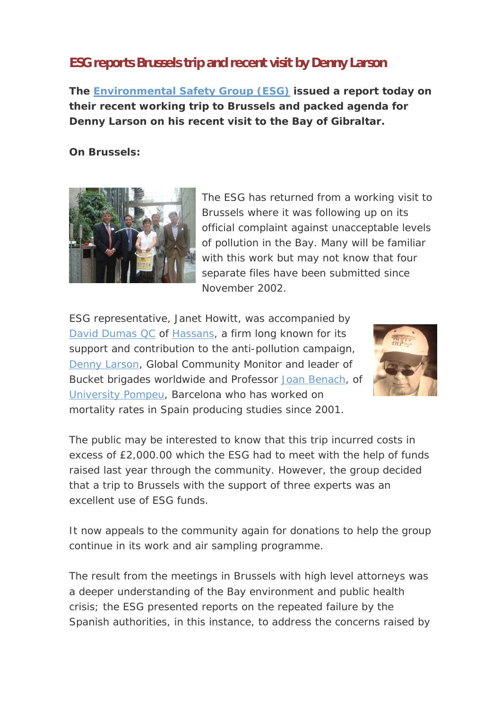## **ESG reports Brussels trip and recent visit by Denny Larson**

*The Environmental Safety Group (ESG) issued a report today on their recent working trip to Brussels and packed agenda for Denny Larson on his recent visit to the Bay of Gibraltar.*

## **On Brussels:**



The ESG has returned from a working visit to Brussels where it was following up on its official complaint against unacceptable levels of pollution in the Bay. Many will be familiar with this work but may not know that four separate files have been submitted since November 2002.

ESG representative, Janet Howitt, was accompanied by David Dumas QC of Hassans, a firm long known for its support and contribution to the anti-pollution campaign, Denny Larson, Global Community Monitor and leader of Bucket brigades worldwide and Professor Joan Benach, of University Pompeu, Barcelona who has worked on mortality rates in Spain producing studies since 2001.



The public may be interested to know that this trip incurred costs in excess of £2,000.00 which the ESG had to meet with the help of funds raised last year through the community. However, the group decided that a trip to Brussels with the support of three experts was an excellent use of ESG funds.

It now appeals to the community again for donations to help the group continue in its work and air sampling programme.

The result from the meetings in Brussels with high level attorneys was a deeper understanding of the Bay environment and public health crisis; the ESG presented reports on the repeated failure by the Spanish authorities, in this instance, to address the concerns raised by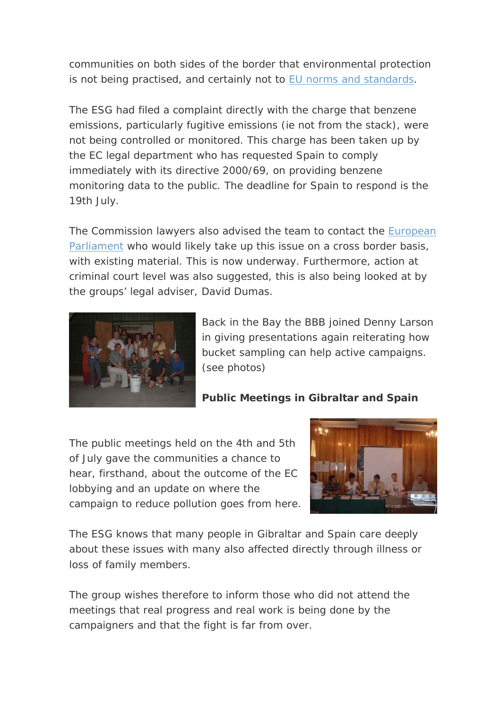communities on both sides of the border that environmental protection is not being practised, and certainly not to EU norms and standards.

The ESG had filed a complaint directly with the charge that benzene emissions, particularly fugitive emissions (ie not from the stack), were not being controlled or monitored. This charge has been taken up by the EC legal department who has requested Spain to comply immediately with its directive 2000/69, on providing benzene monitoring data to the public. The deadline for Spain to respond is the 19th July.

The Commission lawyers also advised the team to contact the **European** Parliament who would likely take up this issue on a cross border basis, with existing material. This is now underway. Furthermore, action at criminal court level was also suggested, this is also being looked at by the groups' legal adviser, David Dumas.



Back in the Bay the BBB joined Denny Larso n in giving presentations again reiterating how bucket sampling can help active campaigns. (see photos)

## **Public Meetings in Gibraltar and Spain**

The public meetings held on the 4th and 5th of July gave the communities a chance to hear, firsthand, a bout the outcome of the EC lo bbying and an update on where the campaign to reduce pollution goes from here.



The ESG knows that many people in Gibraltar and Spain care deeply about these issues with many also affected directly through illness or loss of family members.

The group wishes therefore to inform those who did not attend the meetings that real progress and real work is being done by the campaigners and that the fight is far from over.